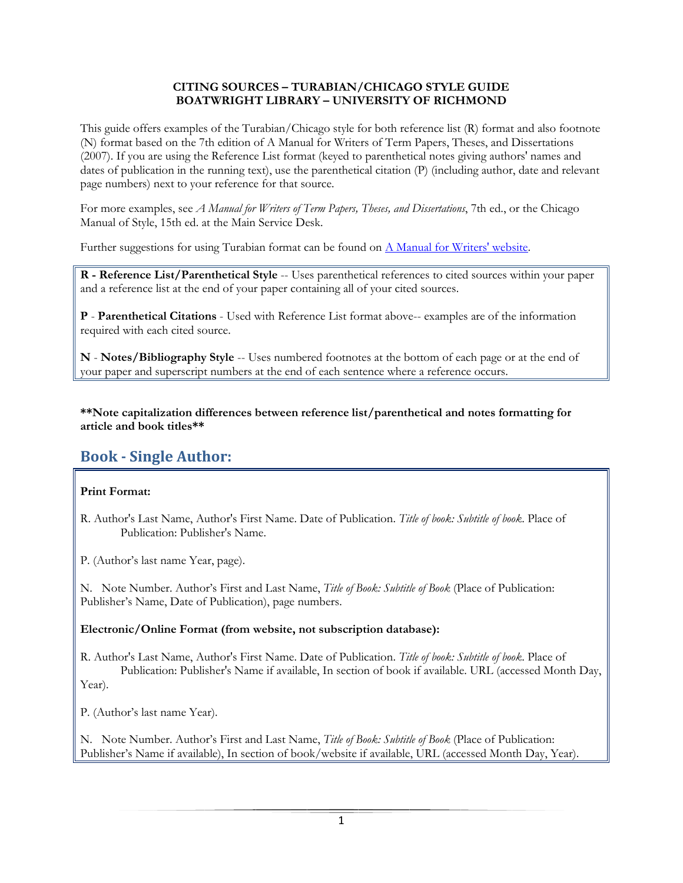#### CITING SOURCES – TURABIAN/CHICAGO STYLE GUIDE BOATWRIGHT LIBRARY – UNIVERSITY OF RICHMOND

This guide offers examples of the Turabian/Chicago style for both reference list (R) format and also footnote (N) format based on the 7th edition of A Manual for Writers of Term Papers, Theses, and Dissertations (2007). If you are using the Reference List format (keyed to parenthetical notes giving authors' names and dates of publication in the running text), use the parenthetical citation (P) (including author, date and relevant page numbers) next to your reference for that source.

For more examples, see A Manual for Writers of Term Papers, Theses, and Dissertations, 7th ed., or the Chicago Manual of Style, 15th ed. at the Main Service Desk.

Further suggestions for using Turabian format can be found on A Manual for Writers' website.

R - Reference List/Parenthetical Style -- Uses parenthetical references to cited sources within your paper and a reference list at the end of your paper containing all of your cited sources.

P - Parenthetical Citations - Used with Reference List format above-- examples are of the information required with each cited source.

N - Notes/Bibliography Style -- Uses numbered footnotes at the bottom of each page or at the end of your paper and superscript numbers at the end of each sentence where a reference occurs.

\*\*Note capitalization differences between reference list/parenthetical and notes formatting for article and book titles\*\*

# Book - Single Author:

### Print Format:

- R. Author's Last Name, Author's First Name. Date of Publication. Title of book: Subtitle of book. Place of Publication: Publisher's Name.
- P. (Author's last name Year, page).

N. Note Number. Author's First and Last Name, Title of Book: Subtitle of Book (Place of Publication: Publisher's Name, Date of Publication), page numbers.

### Electronic/Online Format (from website, not subscription database):

R. Author's Last Name, Author's First Name. Date of Publication. Title of book: Subtitle of book. Place of Publication: Publisher's Name if available, In section of book if available. URL (accessed Month Day, Year).

P. (Author's last name Year).

N. Note Number. Author's First and Last Name, Title of Book: Subtitle of Book (Place of Publication: Publisher's Name if available), In section of book/website if available, URL (accessed Month Day, Year).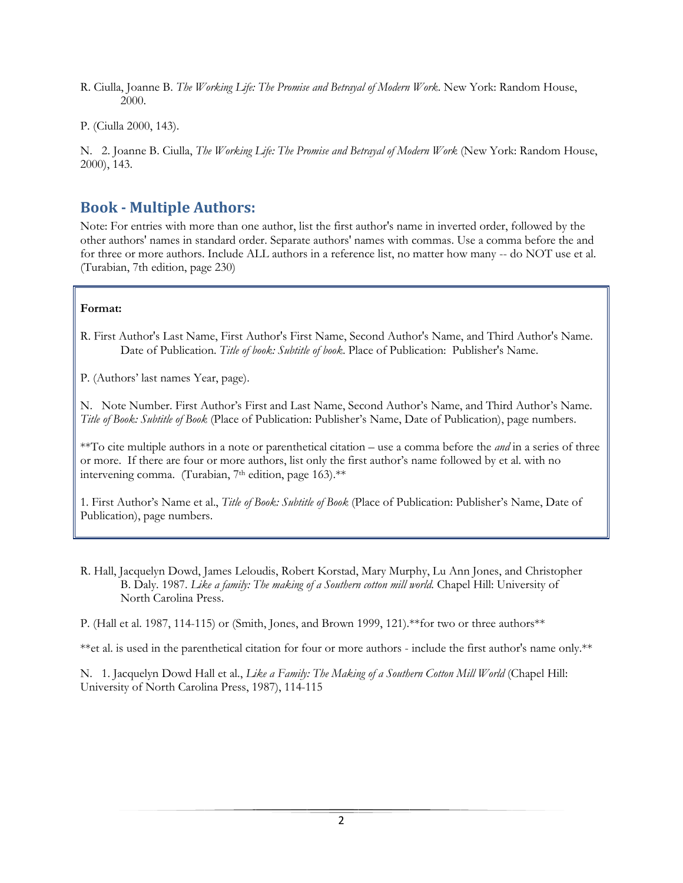- R. Ciulla, Joanne B. The Working Life: The Promise and Betrayal of Modern Work. New York: Random House, 2000.
- P. (Ciulla 2000, 143).

N. 2. Joanne B. Ciulla, The Working Life: The Promise and Betrayal of Modern Work (New York: Random House, 2000), 143.

### Book - Multiple Authors:

Note: For entries with more than one author, list the first author's name in inverted order, followed by the other authors' names in standard order. Separate authors' names with commas. Use a comma before the and for three or more authors. Include ALL authors in a reference list, no matter how many -- do NOT use et al. (Turabian, 7th edition, page 230)

### Format:

R. First Author's Last Name, First Author's First Name, Second Author's Name, and Third Author's Name. Date of Publication. Title of book: Subtitle of book. Place of Publication: Publisher's Name.

P. (Authors' last names Year, page).

N. Note Number. First Author's First and Last Name, Second Author's Name, and Third Author's Name. Title of Book: Subtitle of Book (Place of Publication: Publisher's Name, Date of Publication), page numbers.

\*\*To cite multiple authors in a note or parenthetical citation – use a comma before the *and* in a series of three or more. If there are four or more authors, list only the first author's name followed by et al. with no intervening comma. (Turabian, 7<sup>th</sup> edition, page 163).\*\*

1. First Author's Name et al., Title of Book: Subtitle of Book (Place of Publication: Publisher's Name, Date of Publication), page numbers.

R. Hall, Jacquelyn Dowd, James Leloudis, Robert Korstad, Mary Murphy, Lu Ann Jones, and Christopher B. Daly. 1987. Like a family: The making of a Southern cotton mill world. Chapel Hill: University of North Carolina Press.

P. (Hall et al. 1987, 114-115) or (Smith, Jones, and Brown 1999, 121).\*\*for two or three authors\*\*

\*\*et al. is used in the parenthetical citation for four or more authors - include the first author's name only.\*\*

N. 1. Jacquelyn Dowd Hall et al., Like a Family: The Making of a Southern Cotton Mill World (Chapel Hill: University of North Carolina Press, 1987), 114-115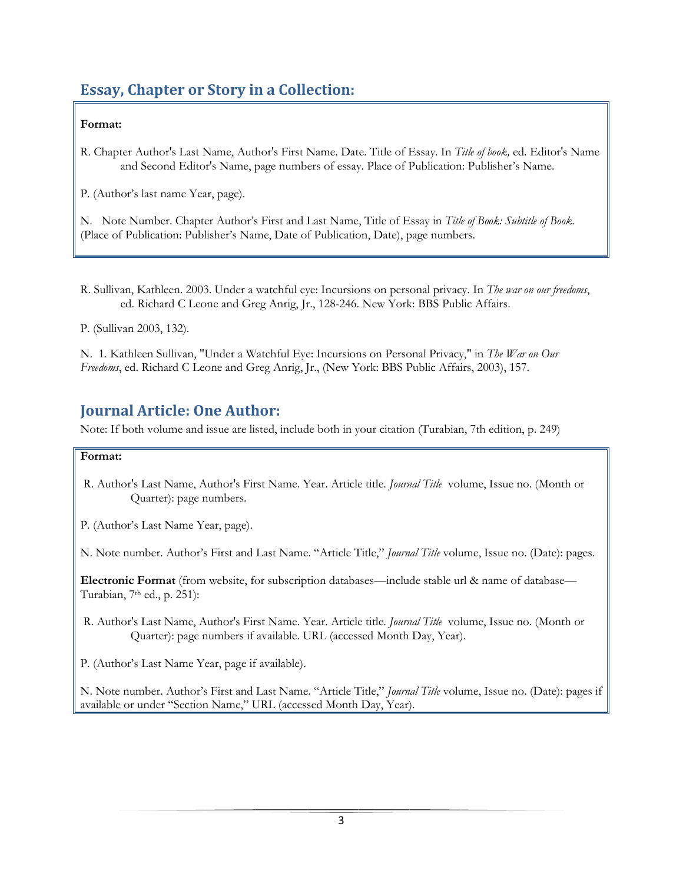# Essay, Chapter or Story in a Collection:

### Format:

R. Chapter Author's Last Name, Author's First Name. Date. Title of Essay. In Title of book, ed. Editor's Name and Second Editor's Name, page numbers of essay. Place of Publication: Publisher's Name.

P. (Author's last name Year, page).

N. Note Number. Chapter Author's First and Last Name, Title of Essay in Title of Book: Subtitle of Book. (Place of Publication: Publisher's Name, Date of Publication, Date), page numbers.

R. Sullivan, Kathleen. 2003. Under a watchful eye: Incursions on personal privacy. In The war on our freedoms, ed. Richard C Leone and Greg Anrig, Jr., 128-246. New York: BBS Public Affairs.

P. (Sullivan 2003, 132).

N. 1. Kathleen Sullivan, "Under a Watchful Eye: Incursions on Personal Privacy," in The War on Our Freedoms, ed. Richard C Leone and Greg Anrig, Jr., (New York: BBS Public Affairs, 2003), 157.

# Journal Article: One Author:

Note: If both volume and issue are listed, include both in your citation (Turabian, 7th edition, p. 249)

### Format:

- R. Author's Last Name, Author's First Name. Year. Article title. Journal Title volume, Issue no. (Month or Quarter): page numbers.
- P. (Author's Last Name Year, page).

N. Note number. Author's First and Last Name. "Article Title," Journal Title volume, Issue no. (Date): pages.

Electronic Format (from website, for subscription databases—include stable url & name of database— Turabian,  $7<sup>th</sup>$  ed., p. 251):

R. Author's Last Name, Author's First Name. Year. Article title. Journal Title volume, Issue no. (Month or Quarter): page numbers if available. URL (accessed Month Day, Year).

P. (Author's Last Name Year, page if available).

N. Note number. Author's First and Last Name. "Article Title," *Journal Title* volume, Issue no. (Date): pages if available or under "Section Name," URL (accessed Month Day, Year).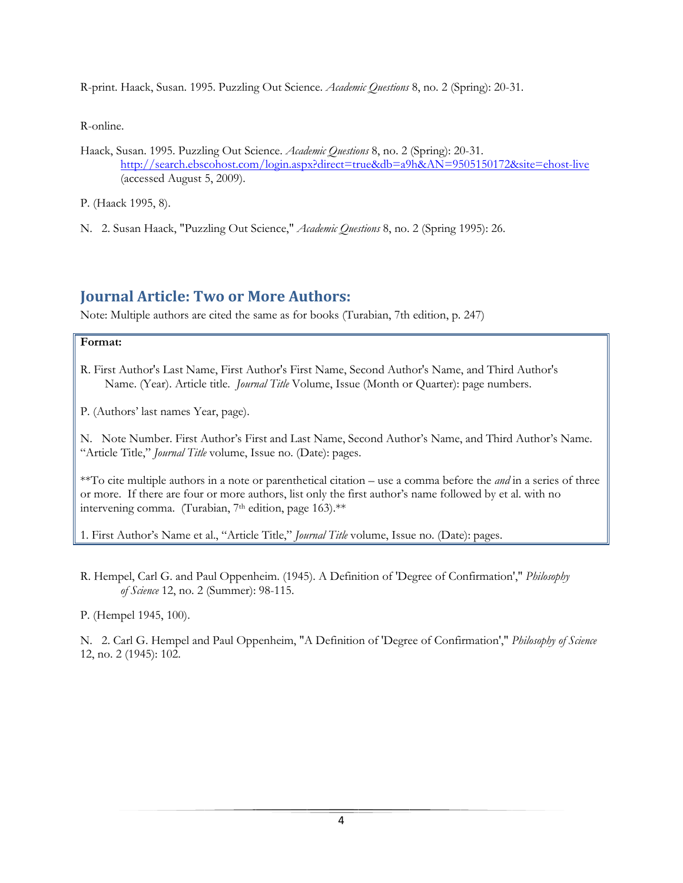R-print. Haack, Susan. 1995. Puzzling Out Science. Academic Questions 8, no. 2 (Spring): 20-31.

R-online.

Haack, Susan. 1995. Puzzling Out Science. Academic Questions 8, no. 2 (Spring): 20-31. http://search.ebscohost.com/login.aspx?direct=true&db=a9h&AN=9505150172&site=ehost-live (accessed August 5, 2009).

P. (Haack 1995, 8).

N. 2. Susan Haack, "Puzzling Out Science," Academic Questions 8, no. 2 (Spring 1995): 26.

## Journal Article: Two or More Authors:

Note: Multiple authors are cited the same as for books (Turabian, 7th edition, p. 247)

#### Format:

- R. First Author's Last Name, First Author's First Name, Second Author's Name, and Third Author's Name. (Year). Article title. *Journal Title* Volume, Issue (Month or Quarter): page numbers.
- P. (Authors' last names Year, page).

N. Note Number. First Author's First and Last Name, Second Author's Name, and Third Author's Name. "Article Title," Journal Title volume, Issue no. (Date): pages.

\*\*To cite multiple authors in a note or parenthetical citation – use a comma before the *and* in a series of three or more. If there are four or more authors, list only the first author's name followed by et al. with no intervening comma. (Turabian, 7<sup>th</sup> edition, page 163).\*\*

1. First Author's Name et al., "Article Title," Journal Title volume, Issue no. (Date): pages.

R. Hempel, Carl G. and Paul Oppenheim. (1945). A Definition of 'Degree of Confirmation'," Philosophy of Science 12, no. 2 (Summer): 98-115.

P. (Hempel 1945, 100).

N. 2. Carl G. Hempel and Paul Oppenheim, "A Definition of 'Degree of Confirmation'," Philosophy of Science 12, no. 2 (1945): 102.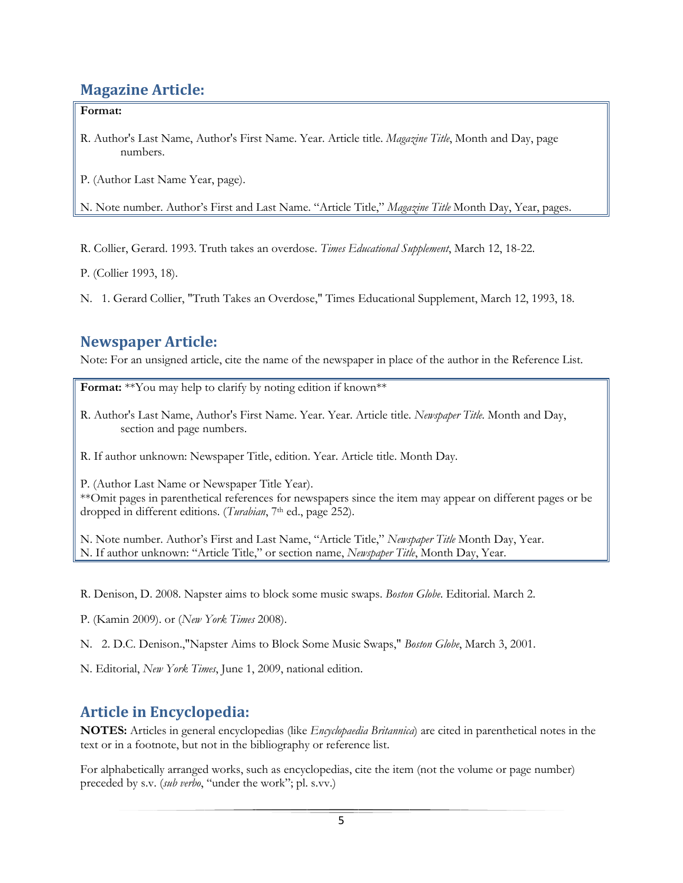## Magazine Article:

### Format:

R. Author's Last Name, Author's First Name. Year. Article title. *Magazine Title*, Month and Day, page numbers.

P. (Author Last Name Year, page).

N. Note number. Author's First and Last Name. "Article Title," Magazine Title Month Day, Year, pages.

R. Collier, Gerard. 1993. Truth takes an overdose. Times Educational Supplement, March 12, 18-22.

P. (Collier 1993, 18).

N. 1. Gerard Collier, "Truth Takes an Overdose," Times Educational Supplement, March 12, 1993, 18.

# Newspaper Article:

Note: For an unsigned article, cite the name of the newspaper in place of the author in the Reference List.

Format: \*\*You may help to clarify by noting edition if known\*\*

R. Author's Last Name, Author's First Name. Year. Year. Article title. Newspaper Title. Month and Day, section and page numbers.

R. If author unknown: Newspaper Title, edition. Year. Article title. Month Day.

P. (Author Last Name or Newspaper Title Year).

\*\*Omit pages in parenthetical references for newspapers since the item may appear on different pages or be dropped in different editions. (Turabian, 7<sup>th</sup> ed., page 252).

N. Note number. Author's First and Last Name, "Article Title," Newspaper Title Month Day, Year. N. If author unknown: "Article Title," or section name, Newspaper Title, Month Day, Year.

R. Denison, D. 2008. Napster aims to block some music swaps. Boston Globe. Editorial. March 2.

P. (Kamin 2009). or (New York Times 2008).

N. 2. D.C. Denison.,"Napster Aims to Block Some Music Swaps," Boston Globe, March 3, 2001.

N. Editorial, New York Times, June 1, 2009, national edition.

## Article in Encyclopedia:

NOTES: Articles in general encyclopedias (like *Encyclopaedia Britannica*) are cited in parenthetical notes in the text or in a footnote, but not in the bibliography or reference list.

For alphabetically arranged works, such as encyclopedias, cite the item (not the volume or page number) preceded by s.v. (sub verbo, "under the work"; pl. s.vv.)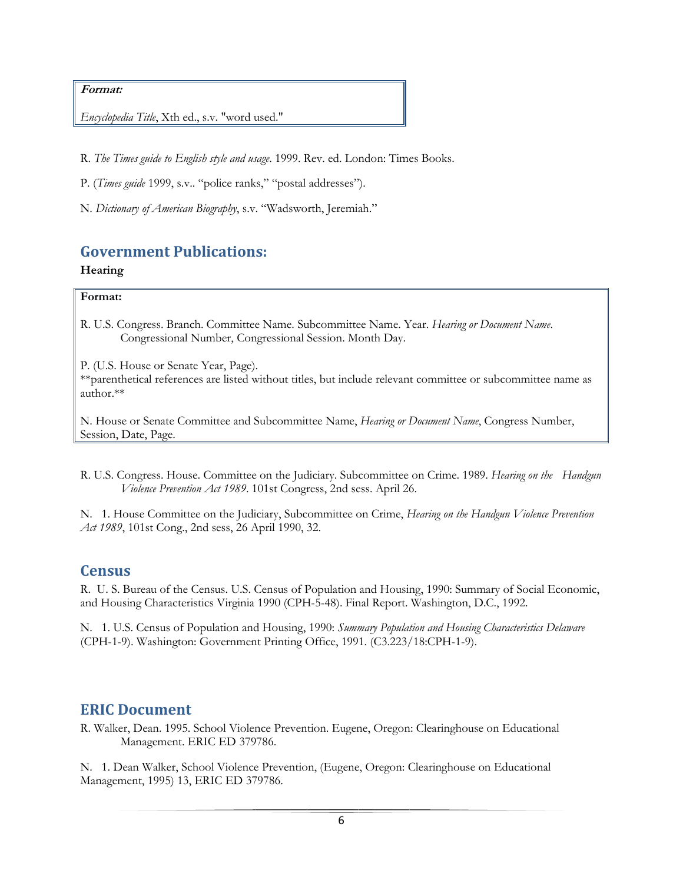#### Format:

Encyclopedia Title, Xth ed., s.v. "word used."

R. The Times guide to English style and usage. 1999. Rev. ed. London: Times Books.

P. (Times guide 1999, s.v.. "police ranks," "postal addresses").

N. Dictionary of American Biography, s.v. "Wadsworth, Jeremiah."

### Government Publications:

### Hearing

#### Format:

R. U.S. Congress. Branch. Committee Name. Subcommittee Name. Year. Hearing or Document Name. Congressional Number, Congressional Session. Month Day.

P. (U.S. House or Senate Year, Page). \*\*parenthetical references are listed without titles, but include relevant committee or subcommittee name as author.\*\*

N. House or Senate Committee and Subcommittee Name, Hearing or Document Name, Congress Number, Session, Date, Page.

R. U.S. Congress. House. Committee on the Judiciary. Subcommittee on Crime. 1989. Hearing on the Handgun Violence Prevention Act 1989. 101st Congress, 2nd sess. April 26.

N. 1. House Committee on the Judiciary, Subcommittee on Crime, Hearing on the Handgun Violence Prevention Act 1989, 101st Cong., 2nd sess, 26 April 1990, 32.

### **Census**

R. U. S. Bureau of the Census. U.S. Census of Population and Housing, 1990: Summary of Social Economic, and Housing Characteristics Virginia 1990 (CPH-5-48). Final Report. Washington, D.C., 1992.

N. 1. U.S. Census of Population and Housing, 1990: Summary Population and Housing Characteristics Delaware (CPH-1-9). Washington: Government Printing Office, 1991. (C3.223/18:CPH-1-9).

### ERIC Document

R. Walker, Dean. 1995. School Violence Prevention. Eugene, Oregon: Clearinghouse on Educational Management. ERIC ED 379786.

N. 1. Dean Walker, School Violence Prevention, (Eugene, Oregon: Clearinghouse on Educational Management, 1995) 13, ERIC ED 379786.